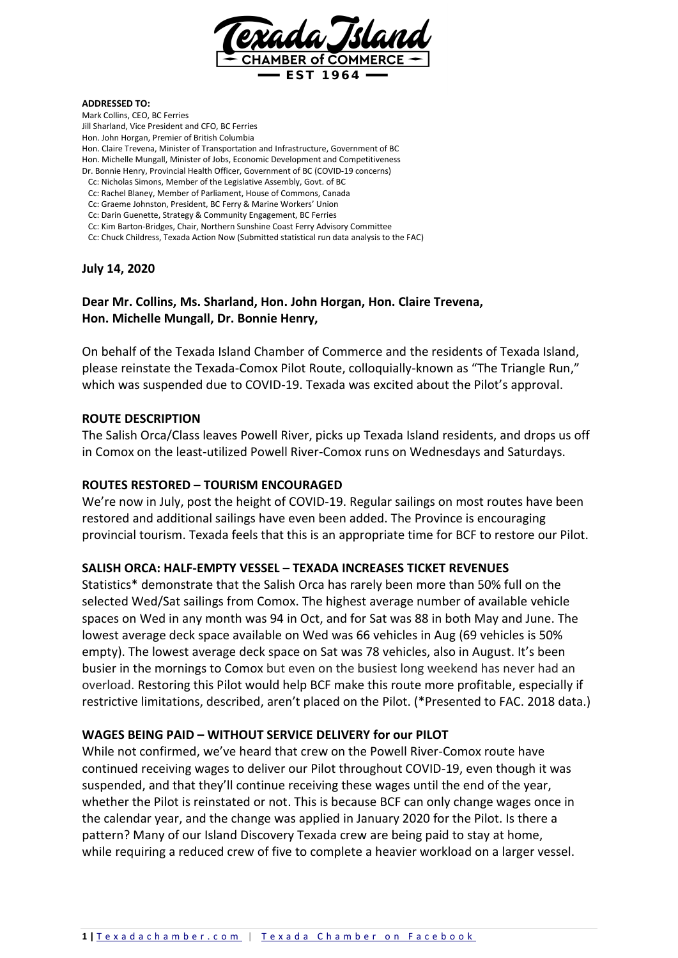

#### **ADDRESSED TO:**

Mark Collins, CEO, BC Ferries Jill Sharland, Vice President and CFO, BC Ferries Hon. John Horgan, Premier of British Columbia Hon. Claire Trevena, Minister of Transportation and Infrastructure, Government of BC Hon. Michelle Mungall, Minister of Jobs, Economic Development and Competitiveness Dr. Bonnie Henry, Provincial Health Officer, Government of BC (COVID-19 concerns) Cc: Nicholas Simons, Member of the Legislative Assembly, Govt. of BC Cc: Rachel Blaney, Member of Parliament, House of Commons, Canada Cc: Graeme Johnston, President, BC Ferry & Marine Workers' Union Cc: Darin Guenette, Strategy & Community Engagement, BC Ferries Cc: Kim Barton-Bridges, Chair, Northern Sunshine Coast Ferry Advisory Committee

Cc: Chuck Childress, Texada Action Now (Submitted statistical run data analysis to the FAC)

#### **July 14, 2020**

# **Dear Mr. Collins, Ms. Sharland, Hon. John Horgan, Hon. Claire Trevena, Hon. Michelle Mungall, Dr. Bonnie Henry,**

On behalf of the Texada Island Chamber of Commerce and the residents of Texada Island, please reinstate the Texada-Comox Pilot Route, colloquially-known as "The Triangle Run," which was suspended due to COVID-19. Texada was excited about the Pilot's approval.

#### **ROUTE DESCRIPTION**

The Salish Orca/Class leaves Powell River, picks up Texada Island residents, and drops us off in Comox on the least-utilized Powell River-Comox runs on Wednesdays and Saturdays.

#### **ROUTES RESTORED – TOURISM ENCOURAGED**

We're now in July, post the height of COVID-19. Regular sailings on most routes have been restored and additional sailings have even been added. The Province is encouraging provincial tourism. Texada feels that this is an appropriate time for BCF to restore our Pilot.

## **SALISH ORCA: HALF-EMPTY VESSEL – TEXADA INCREASES TICKET REVENUES**

Statistics\* demonstrate that the Salish Orca has rarely been more than 50% full on the selected Wed/Sat sailings from Comox. The highest average number of available vehicle spaces on Wed in any month was 94 in Oct, and for Sat was 88 in both May and June. The lowest average deck space available on Wed was 66 vehicles in Aug (69 vehicles is 50% empty). The lowest average deck space on Sat was 78 vehicles, also in August. It's been busier in the mornings to Comox but even on the busiest long weekend has never had an overload. Restoring this Pilot would help BCF make this route more profitable, especially if restrictive limitations, described, aren't placed on the Pilot. (\*Presented to FAC. 2018 data.)

#### **WAGES BEING PAID – WITHOUT SERVICE DELIVERY for our PILOT**

While not confirmed, we've heard that crew on the Powell River-Comox route have continued receiving wages to deliver our Pilot throughout COVID-19, even though it was suspended, and that they'll continue receiving these wages until the end of the year, whether the Pilot is reinstated or not. This is because BCF can only change wages once in the calendar year, and the change was applied in January 2020 for the Pilot. Is there a pattern? Many of our Island Discovery Texada crew are being paid to stay at home, while requiring a reduced crew of five to complete a heavier workload on a larger vessel.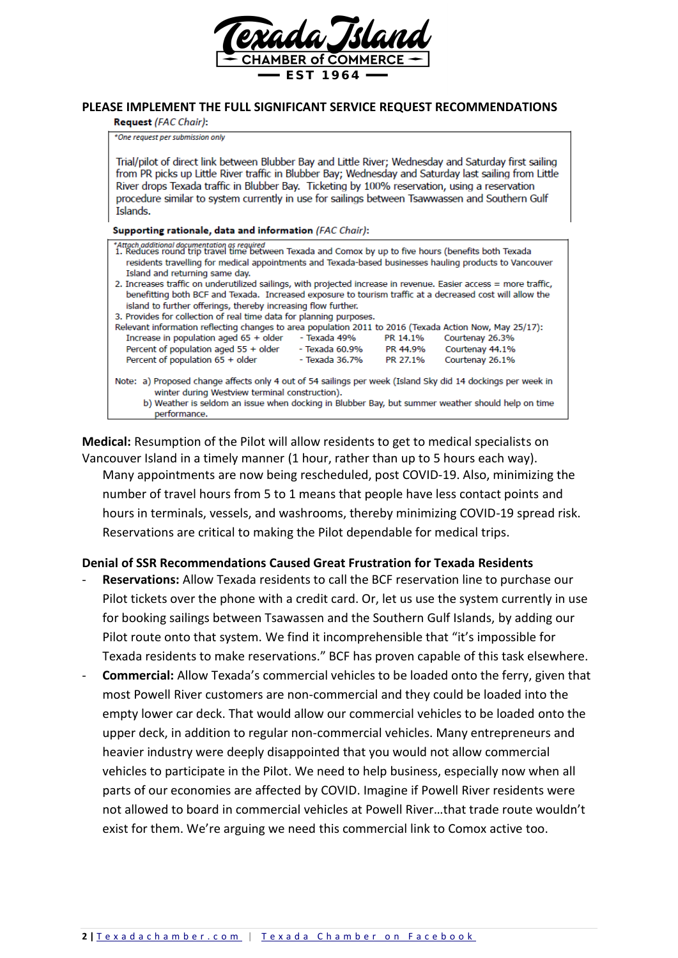

#### **PLEASE IMPLEMENT THE FULL SIGNIFICANT SERVICE REQUEST RECOMMENDATIONS**

**Request (FAC Chair):** 

\*One request per submission only

Trial/pilot of direct link between Blubber Bay and Little River; Wednesday and Saturday first sailing from PR picks up Little River traffic in Blubber Bay; Wednesday and Saturday last sailing from Little River drops Texada traffic in Blubber Bay. Ticketing by 100% reservation, using a reservation procedure similar to system currently in use for sailings between Tsawwassen and Southern Gulf Islands.

Supporting rationale, data and information (FAC Chair):

| *Attach additional documentation as required<br>1. Reduces round trip travel time between Texada and Comox by up to five hours (benefits both Texada |                |          |                 |
|------------------------------------------------------------------------------------------------------------------------------------------------------|----------------|----------|-----------------|
| residents travelling for medical appointments and Texada-based businesses hauling products to Vancouver                                              |                |          |                 |
| Island and returning same day.                                                                                                                       |                |          |                 |
| 2. Increases traffic on underutilized sailings, with projected increase in revenue. Easier access = more traffic,                                    |                |          |                 |
| benefitting both BCF and Texada. Increased exposure to tourism traffic at a decreased cost will allow the                                            |                |          |                 |
| island to further offerings, thereby increasing flow further.                                                                                        |                |          |                 |
| 3. Provides for collection of real time data for planning purposes.                                                                                  |                |          |                 |
| Relevant information reflecting changes to area population 2011 to 2016 (Texada Action Now, May 25/17):                                              |                |          |                 |
| Increase in population aged $65 +$ older                                                                                                             | - Texada 49%   | PR 14.1% | Courtenay 26.3% |
| Percent of population aged 55 + older                                                                                                                | - Texada 60.9% | PR 44.9% | Courtenay 44.1% |
| Percent of population 65 + older                                                                                                                     | - Texada 36.7% | PR 27.1% | Courtenay 26.1% |
|                                                                                                                                                      |                |          |                 |
| Note: a) Proposed change affects only 4 out of 54 sailings per week (Island Sky did 14 dockings per week in                                          |                |          |                 |
| winter during Westview terminal construction).                                                                                                       |                |          |                 |
| b) Weather is seldom an issue when docking in Blubber Bay, but summer weather should help on time                                                    |                |          |                 |
| performance.                                                                                                                                         |                |          |                 |

**Medical:** Resumption of the Pilot will allow residents to get to medical specialists on Vancouver Island in a timely manner (1 hour, rather than up to 5 hours each way). Many appointments are now being rescheduled, post COVID-19. Also, minimizing the number of travel hours from 5 to 1 means that people have less contact points and hours in terminals, vessels, and washrooms, thereby minimizing COVID-19 spread risk. Reservations are critical to making the Pilot dependable for medical trips.

## **Denial of SSR Recommendations Caused Great Frustration for Texada Residents**

- **Reservations:** Allow Texada residents to call the BCF reservation line to purchase our Pilot tickets over the phone with a credit card. Or, let us use the system currently in use for booking sailings between Tsawassen and the Southern Gulf Islands, by adding our Pilot route onto that system. We find it incomprehensible that "it's impossible for Texada residents to make reservations." BCF has proven capable of this task elsewhere.
- **Commercial:** Allow Texada's commercial vehicles to be loaded onto the ferry, given that most Powell River customers are non-commercial and they could be loaded into the empty lower car deck. That would allow our commercial vehicles to be loaded onto the upper deck, in addition to regular non-commercial vehicles. Many entrepreneurs and heavier industry were deeply disappointed that you would not allow commercial vehicles to participate in the Pilot. We need to help business, especially now when all parts of our economies are affected by COVID. Imagine if Powell River residents were not allowed to board in commercial vehicles at Powell River…that trade route wouldn't exist for them. We're arguing we need this commercial link to Comox active too.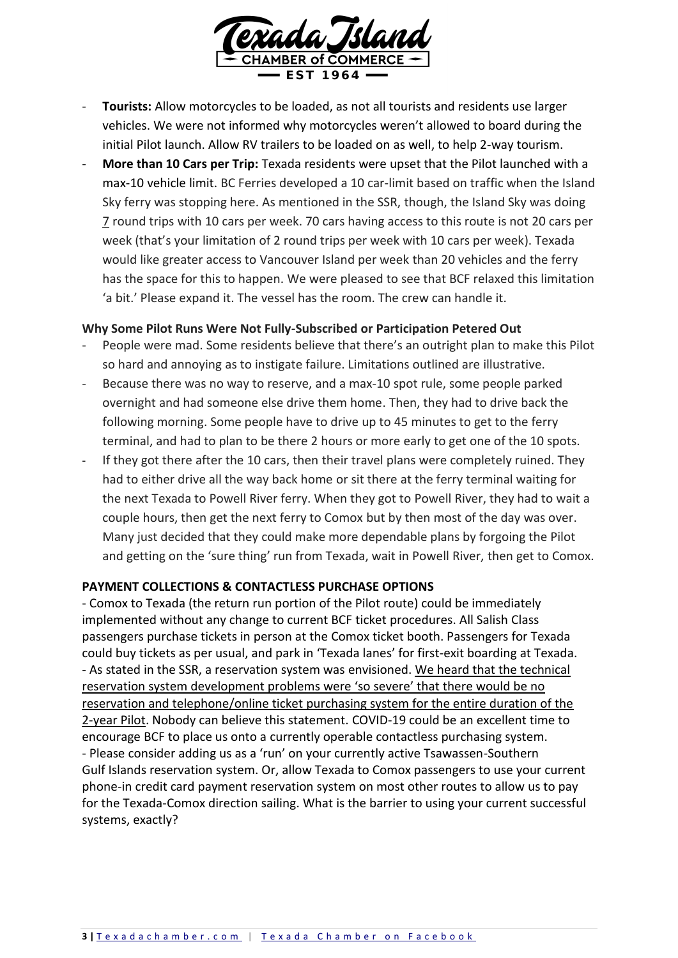

- **Tourists:** Allow motorcycles to be loaded, as not all tourists and residents use larger vehicles. We were not informed why motorcycles weren't allowed to board during the initial Pilot launch. Allow RV trailers to be loaded on as well, to help 2-way tourism.
- **More than 10 Cars per Trip:** Texada residents were upset that the Pilot launched with a max-10 vehicle limit. BC Ferries developed a 10 car-limit based on traffic when the Island Sky ferry was stopping here. As mentioned in the SSR, though, the Island Sky was doing 7 round trips with 10 cars per week. 70 cars having access to this route is not 20 cars per week (that's your limitation of 2 round trips per week with 10 cars per week). Texada would like greater access to Vancouver Island per week than 20 vehicles and the ferry has the space for this to happen. We were pleased to see that BCF relaxed this limitation 'a bit.' Please expand it. The vessel has the room. The crew can handle it.

## **Why Some Pilot Runs Were Not Fully-Subscribed or Participation Petered Out**

- People were mad. Some residents believe that there's an outright plan to make this Pilot so hard and annoying as to instigate failure. Limitations outlined are illustrative.
- Because there was no way to reserve, and a max-10 spot rule, some people parked overnight and had someone else drive them home. Then, they had to drive back the following morning. Some people have to drive up to 45 minutes to get to the ferry terminal, and had to plan to be there 2 hours or more early to get one of the 10 spots.
- If they got there after the 10 cars, then their travel plans were completely ruined. They had to either drive all the way back home or sit there at the ferry terminal waiting for the next Texada to Powell River ferry. When they got to Powell River, they had to wait a couple hours, then get the next ferry to Comox but by then most of the day was over. Many just decided that they could make more dependable plans by forgoing the Pilot and getting on the 'sure thing' run from Texada, wait in Powell River, then get to Comox.

## **PAYMENT COLLECTIONS & CONTACTLESS PURCHASE OPTIONS**

- Comox to Texada (the return run portion of the Pilot route) could be immediately implemented without any change to current BCF ticket procedures. All Salish Class passengers purchase tickets in person at the Comox ticket booth. Passengers for Texada could buy tickets as per usual, and park in 'Texada lanes' for first-exit boarding at Texada. - As stated in the SSR, a reservation system was envisioned. We heard that the technical reservation system development problems were 'so severe' that there would be no reservation and telephone/online ticket purchasing system for the entire duration of the 2-year Pilot. Nobody can believe this statement. COVID-19 could be an excellent time to encourage BCF to place us onto a currently operable contactless purchasing system. - Please consider adding us as a 'run' on your currently active Tsawassen-Southern Gulf Islands reservation system. Or, allow Texada to Comox passengers to use your current phone-in credit card payment reservation system on most other routes to allow us to pay for the Texada-Comox direction sailing. What is the barrier to using your current successful systems, exactly?